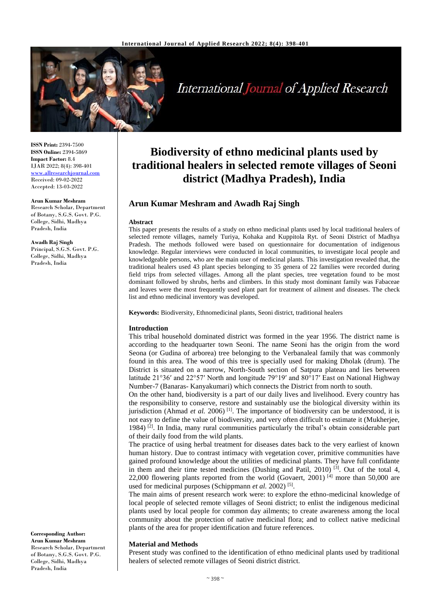

International Journal of Applied Research

**ISSN Print:** 2394-7500 **ISSN Online:** 2394-5869 **Impact Factor:** 8.4 IJAR 2022; 8(4): 398-401 [www.allresearchjournal.com](http://www.allresearchjournal.com/) Received: 09-02-2022 Accepted: 13-03-2022

#### **Arun Kumar Meshram**

Research Scholar, Department of Botany, S.G.S. Govt. P.G. College, Sidhi, Madhya Pradesh, India

**Awadh Raj Singh**

Principal, S.G.S. Govt. P.G. College, Sidhi, Madhya Pradesh, India

#### **Corresponding Author: Arun Kumar Meshram** Research Scholar, Department of Botany, S.G.S. Govt. P.G. College, Sidhi, Madhya Pradesh, India

# **Biodiversity of ethno medicinal plants used by traditional healers in selected remote villages of Seoni district (Madhya Pradesh), India**

## **Arun Kumar Meshram and Awadh Raj Singh**

#### **Abstract**

This paper presents the results of a study on ethno medicinal plants used by local traditional healers of selected remote villages, namely Turiya, Kohaka and Kuppitola Ryt. of Seoni District of Madhya Pradesh. The methods followed were based on questionnaire for documentation of indigenous knowledge. Regular interviews were conducted in local communities, to investigate local people and knowledgeable persons, who are the main user of medicinal plants. This investigation revealed that, the traditional healers used 43 plant species belonging to 35 genera of 22 families were recorded during field trips from selected villages. Among all the plant species, tree vegetation found to be most dominant followed by shrubs, herbs and climbers. In this study most dominant family was Fabaceae and leaves were the most frequently used plant part for treatment of ailment and diseases. The check list and ethno medicinal inventory was developed.

**Keywords:** Biodiversity, Ethnomedicinal plants, Seoni district, traditional healers

## **Introduction**

This tribal household dominated district was formed in the year 1956. The district name is according to the headquarter town Seoni. The name Seoni has the origin from the word Seona (or Gudina of arborea) tree belonging to the Verbanaleal family that was commonly found in this area. The wood of this tree is specially used for making Dholak (drum). The District is situated on a narrow, North-South section of Satpura plateau and lies between latitude 21°36′ and 22°57′ North and longitude 79°19′ and 80°17′ East on National Highway Number-7 (Banaras- Kanyakumari) which connects the District from north to south.

On the other hand, biodiversity is a part of our daily lives and livelihood. Every country has the responsibility to conserve, restore and sustainably use the biological diversity within its jurisdiction (Ahmad *et al.* 2006)<sup>[1]</sup>. The importance of biodiversity can be understood, it is not easy to define the value of biodiversity, and very often difficult to estimate it (Mukherjee, 1984) <sup>[2]</sup>. In India, many rural communities particularly the tribal's obtain considerable part of their daily food from the wild plants.

The practice of using herbal treatment for diseases dates back to the very earliest of known human history. Due to contrast intimacy with vegetation cover, primitive communities have gained profound knowledge about the utilities of medicinal plants. They have full confidante in them and their time tested medicines (Dushing and Patil, 2010)  $^{[3]}$ . Out of the total 4, 22,000 flowering plants reported from the world (Govaert, 2001) [4] more than 50,000 are used for medicinal purposes (Schippmann *et al.* 2002)<sup>[5]</sup>.

The main aims of present research work were: to explore the ethno-medicinal knowledge of local people of selected remote villages of Seoni district; to enlist the indigenous medicinal plants used by local people for common day ailments; to create awareness among the local community about the protection of native medicinal flora; and to collect native medicinal plants of the area for proper identification and future references.

## **Material and Methods**

Present study was confined to the identification of ethno medicinal plants used by traditional healers of selected remote villages of Seoni district district.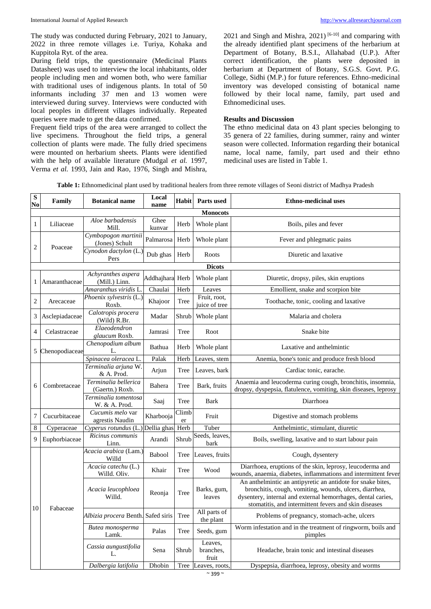The study was conducted during February, 2021 to January, 2022 in three remote villages i.e. Turiya, Kohaka and Kuppitola Ryt. of the area.

During field trips, the questionnaire (Medicinal Plants Datasheet) was used to interview the local inhabitants, older people including men and women both, who were familiar with traditional uses of indigenous plants. In total of 50 informants including 37 men and 13 women were interviewed during survey. Interviews were conducted with local peoples in different villages individually. Repeated queries were made to get the data confirmed.

Frequent field trips of the area were arranged to collect the live specimens. Throughout the field trips, a general collection of plants were made. The fully dried specimens were mounted on herbarium sheets. Plants were identified with the help of available literature (Mudgal *et al.* 1997, Verma *et al.* 1993, Jain and Rao, 1976, Singh and Mishra,

2021 and Singh and Mishra, 2021)<sup>[6-10]</sup> and comparing with the already identified plant specimens of the herbarium at Department of Botany, B.S.I., Allahabad (U.P.). After correct identification, the plants were deposited in herbarium at Department of Botany, S.G.S. Govt. P.G. College, Sidhi (M.P.) for future references. Ethno-medicinal inventory was developed consisting of botanical name followed by their local name, family, part used and Ethnomedicinal uses.

#### **Results and Discussion**

The ethno medicinal data on 43 plant species belonging to 35 genera of 22 families, during summer, rainy and winter season were collected. Information regarding their botanical name, local name, family, part used and their ethno medicinal uses are listed in Table 1.

**Table 1:** Ethnomedicinal plant used by traditional healers from three remote villages of Seoni district of Madhya Pradesh

| ${\bf S}$<br>N <sub>0</sub> | Family          | <b>Botanical name</b>                   | Local<br>name   | <b>Habit</b> | Parts used                    | <b>Ethno-medicinal uses</b>                                                                                                                                                                                                                    |  |  |  |  |
|-----------------------------|-----------------|-----------------------------------------|-----------------|--------------|-------------------------------|------------------------------------------------------------------------------------------------------------------------------------------------------------------------------------------------------------------------------------------------|--|--|--|--|
|                             | <b>Monocots</b> |                                         |                 |              |                               |                                                                                                                                                                                                                                                |  |  |  |  |
| 1                           | Liliaceae       | Aloe barbadensis<br>Mill.               | Ghee<br>kunvar  | Herb         | Whole plant                   | Boils, piles and fever                                                                                                                                                                                                                         |  |  |  |  |
| 2                           | Poaceae         | Cymbopogon martinii<br>(Jones) Schult   | Palmarosa       | Herb         | Whole plant                   | Fever and phlegmatic pains                                                                                                                                                                                                                     |  |  |  |  |
|                             |                 | Cynodon dactylon (L.)<br>Pers           | Dub ghas        | Herb         | Roots                         | Diuretic and laxative                                                                                                                                                                                                                          |  |  |  |  |
|                             | <b>Dicots</b>   |                                         |                 |              |                               |                                                                                                                                                                                                                                                |  |  |  |  |
| 1                           | Amaranthaceae   | Achyranthes aspera<br>(Mill.) Linn.     | Addhajhara Herb |              | Whole plant                   | Diuretic, dropsy, piles, skin eruptions                                                                                                                                                                                                        |  |  |  |  |
|                             |                 | Amaranthus viridis L.                   | Chaulai         | Herb         | Leaves                        | Emollient, snake and scorpion bite                                                                                                                                                                                                             |  |  |  |  |
| 2                           | Arecaceae       | Phoenix sylvestris (L.)<br>Roxb.        | Khajoor         | Tree         | Fruit, root,<br>juice of tree | Toothache, tonic, cooling and laxative                                                                                                                                                                                                         |  |  |  |  |
| 3                           | Asclepiadaceae  | Calotropis procera<br>(Wild) R.Br.      | Madar           | Shrub        | Whole plant                   | Malaria and cholera                                                                                                                                                                                                                            |  |  |  |  |
| 4                           | Celastraceae    | Elaeodendron<br>glaucum Roxb.           | Jamrasi         | Tree         | Root                          | Snake bite                                                                                                                                                                                                                                     |  |  |  |  |
| 5                           | Chenopodiaceae  | Chenopodium album<br>L.                 | Bathua          | Herb         | Whole plant                   | Laxative and anthelmintic                                                                                                                                                                                                                      |  |  |  |  |
|                             |                 | Spinacea oleracea L.                    | Palak           | Herb         | Leaves, stem                  | Anemia, bone's tonic and produce fresh blood                                                                                                                                                                                                   |  |  |  |  |
|                             | Combretaceae    | Terminalia arjuna W.<br>& A. Prod.      | Arjun           | Tree         | Leaves, bark                  | Cardiac tonic, earache.                                                                                                                                                                                                                        |  |  |  |  |
| 6                           |                 | Terminalia bellerica<br>(Gaertn.) Roxb. | Bahera          | Tree         | Bark, fruits                  | Anaemia and leucoderma curing cough, bronchitis, insomnia,<br>dropsy, dyspepsia, flatulence, vomiting, skin diseases, leprosy                                                                                                                  |  |  |  |  |
|                             |                 | Terminalia tomentosa<br>W. & A. Prod.   | Saaj            | Tree         | Bark                          | Diarrhoea                                                                                                                                                                                                                                      |  |  |  |  |
| 7                           | Cucurbitaceae   | Cucumis melo var<br>agrestis Naudin     | Kharbooja       | Climb<br>er  | Fruit                         | Digestive and stomach problems                                                                                                                                                                                                                 |  |  |  |  |
| 8                           | Cyperaceae      | Cyperus rotundus (L                     | Dellia ghas     | Herb         | Tuber                         | Anthelmintic, stimulant, diuretic                                                                                                                                                                                                              |  |  |  |  |
| 9                           | Euphorbiaceae   | Ricinus communis<br>Linn.               | Arandi          | Shrub        | Seeds, leaves,<br>bark        | Boils, swelling, laxative and to start labour pain                                                                                                                                                                                             |  |  |  |  |
|                             | Fabaceae        | Acacia arabica (Lam.)<br>Willd          | <b>Babool</b>   | Tree         | Leaves, fruits                | Cough, dysentery                                                                                                                                                                                                                               |  |  |  |  |
| 10                          |                 | Acacia catechu (L.)<br>Willd. Oliv.     | Khair           | Tree         | Wood                          | Diarrhoea, eruptions of the skin, leprosy, leucoderma and<br>wounds, anaemia, diabetes, inflammations and intermittent fever                                                                                                                   |  |  |  |  |
|                             |                 | Acacia leucophloea<br>Willd.            | Reonja          | Tree         | Barks, gum,<br>leaves         | An anthelmintic an antipyretic an antidote for snake bites,<br>bronchitis, cough, vomiting, wounds, ulcers, diarrhea,<br>dysentery, internal and external hemorrhages, dental caries,<br>stomatitis, and intermittent fevers and skin diseases |  |  |  |  |
|                             |                 | Albizia procera Benth. Safed siris Tree |                 |              | All parts of<br>the plant     | Problems of pregnancy, stomach-ache, ulcers                                                                                                                                                                                                    |  |  |  |  |
|                             |                 | Butea monosperma<br>Lamk.               | Palas           | Tree         | Seeds, gum                    | Worm infestation and in the treatment of ringworm, boils and<br>pimples                                                                                                                                                                        |  |  |  |  |
|                             |                 | Cassia aungustifolia<br>L.              | Sena            | Shrub        | Leaves,<br>branches,<br>fruit | Headache, brain tonic and intestinal diseases                                                                                                                                                                                                  |  |  |  |  |
|                             |                 | Dalbergia latifolia                     | Dhobin          | Tree         | Leaves, roots,                | Dyspepsia, diarrhoea, leprosy, obesity and worms                                                                                                                                                                                               |  |  |  |  |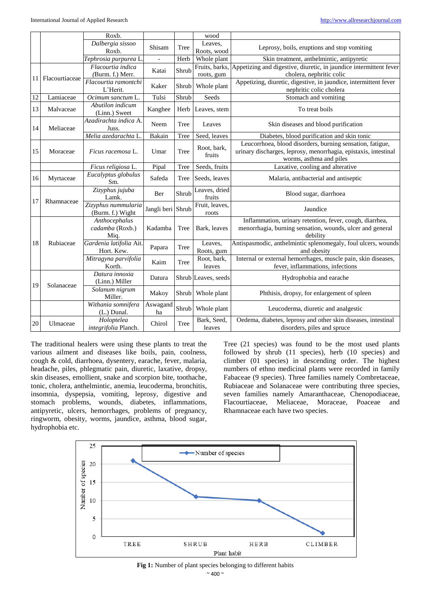|    |                | Roxb.                                    |                   |       | wood                    |                                                                                                                                                         |
|----|----------------|------------------------------------------|-------------------|-------|-------------------------|---------------------------------------------------------------------------------------------------------------------------------------------------------|
|    |                | Dalbergia sissoo<br>Roxb.                | Shisam            | Tree  | Leaves.<br>Roots, wood  | Leprosy, boils, eruptions and stop vomiting                                                                                                             |
|    |                | Tephrosia purpurea L.                    |                   | Herb  | Whole plant             | Skin treatment, anthelmintic, antipyretic                                                                                                               |
| 11 | Flacourtiaceae | Flacourtia indica                        | Katai             | Shrub | Fruits, barks,          | Appetizing and digestive, diuretic, in jaundice intermittent fever                                                                                      |
|    |                | (Burm. f.) Merr.                         |                   |       | roots, gum              | cholera, nephritic colic                                                                                                                                |
|    |                | Flacourtia ramontchi<br>L'Herit.         | Kaker             | Shrub | Whole plant             | Appetizing, diuretic, digestive, in jaundice, intermittent fever<br>nephritic colic cholera                                                             |
| 12 | Lamiaceae      | Ocimum sanctum L.                        | Tulsi             | Shrub | Seeds                   | Stomach and vomiting                                                                                                                                    |
| 13 | Malvaceae      | Abutilon indicum<br>(Linn.) Sweet        | Kanghee           | Herb  | Leaves, stem            | To treat boils                                                                                                                                          |
| 14 | Meliaceae      | Azadirachta indica A.<br>Juss.           | Neem              | Tree  | Leaves                  | Skin diseases and blood purification                                                                                                                    |
|    |                | Melia azedarachta L.                     | Bakain            | Tree  | Seed, leaves            | Diabetes, blood purification and skin tonic                                                                                                             |
| 15 | Moraceae       | Ficus racemosa L.                        | Umar              | Tree  | Root, bark,<br>fruits   | Leucorrhoea, blood disorders, burning sensation, fatigue,<br>urinary discharges, leprosy, menorrhagia, epistaxis, intestinal<br>worms, asthma and piles |
|    |                | Ficus religiosa L.                       | Pipal             | Tree  | Seeds, fruits           | Laxative, cooling and alterative                                                                                                                        |
| 16 | Myrtaceae      | Eucalyptus globulus<br>Sm.               | Safeda            | Tree  | Seeds, leaves           | Malaria, antibacterial and antiseptic                                                                                                                   |
| 17 | Rhamnaceae     | Zizyphus jujuba<br>Lamk.                 | Ber               | Shrub | Leaves, dried<br>fruits | Blood sugar, diarrhoea                                                                                                                                  |
|    |                | Zizyphus nummularia<br>(Burm. f.) Wight  | Jangli beri Shrub |       | Fruit, leaves,<br>roots | Jaundice                                                                                                                                                |
| 18 | Rubiaceae      | Anthocephalus<br>cadamba (Roxb.)<br>Miq. | Kadamba           | Tree  | Bark, leaves            | Inflammation, urinary retention, fever, cough, diarrhea,<br>menorrhagia, burning sensation, wounds, ulcer and general<br>debility                       |
|    |                | Gardenia latifolia Ait.<br>Hort. Kew.    | Papara            | Tree  | Leaves.<br>Roots, gum   | Antispasmodic, anthelmintic splenomegaly, foul ulcers, wounds<br>and obesity                                                                            |
|    |                | Mitragyna parvifolia<br>Korth.           | Kaim              | Tree  | Root, bark,<br>leaves   | Internal or external hemorrhages, muscle pain, skin diseases,<br>fever, inflammations, infections                                                       |
| 19 | Solanaceae     | Datura innoxia<br>(Linn.) Miller         | Datura            |       | Shrub Leaves, seeds     | Hydrophobia and earache                                                                                                                                 |
|    |                | Solanum nigrum<br>Miller.                | Makoy             | Shrub | Whole plant             | Phthisis, dropsy, for enlargement of spleen                                                                                                             |
|    |                | Withania somnifera<br>(L.) Dunal.        | Aswagand<br>ha    | Shrub | Whole plant             | Leucoderma, diuretic and analgestic                                                                                                                     |
| 20 | Ulmaceae       | Holoptelea<br>integrifolia Planch.       | Chirol            | Tree  | Bark, Seed,<br>leaves   | Oedema, diabetes, leprosy and other skin diseases, intestinal<br>disorders, piles and spruce                                                            |

The traditional healers were using these plants to treat the various ailment and diseases like boils, pain, coolness, cough & cold, diarrhoea, dysentery, earache, fever, malaria, headache, piles, phlegmatic pain, diuretic, laxative, dropsy, skin diseases, emollient, snake and scorpion bite, toothache, tonic, cholera, anthelmintic, anemia, leucoderma, bronchitis, insomnia, dyspepsia, vomiting, leprosy, digestive and stomach problems, wounds, diabetes, inflammations, antipyretic, ulcers, hemorrhages, problems of pregnancy, ringworm, obesity, worms, jaundice, asthma, blood sugar, hydrophobia etc.

Tree (21 species) was found to be the most used plants followed by shrub (11 species), herb (10 species) and climber (01 species) in descending order. The highest numbers of ethno medicinal plants were recorded in family Fabaceae (9 species). Three families namely Combretaceae, Rubiaceae and Solanaceae were contributing three species, seven families namely Amaranthaceae, Chenopodiaceae, Flacourtiaceae, Meliaceae, Moraceae, Poaceae and Rhamnaceae each have two species.



 $~^{\sim}$  400  $~^{\sim}$ **Fig 1:** Number of plant species belonging to different habits